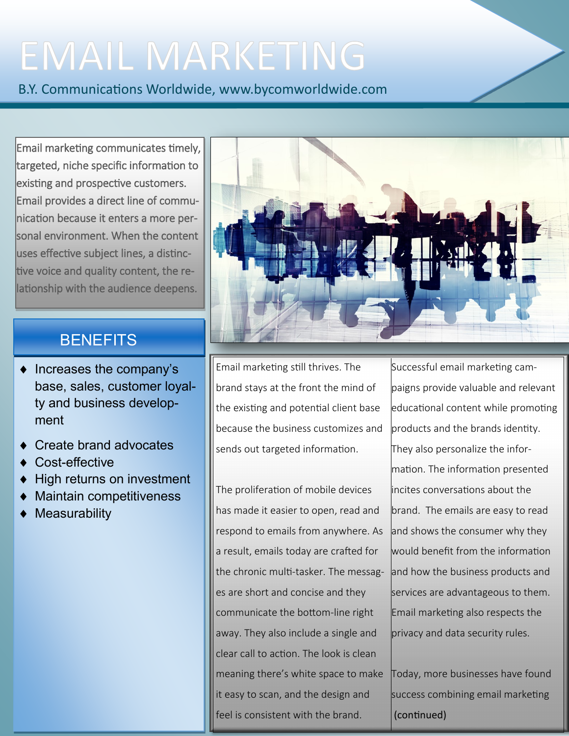# **EMAIL MARKETING**

B.Y. Communications Worldwide, www.bycomworldwide.com

Email marketing communicates timely, targeted, niche specific information to existing and prospective customers. Email provides a direct line of communication because it enters a more personal environment. When the content uses effective subject lines, a distinctive voice and quality content, the relationship with the audience deepens.

### **BENEFITS**

- $\bullet$  Increases the company's base, sales, customer loyalty and business development
- Create brand advocates
- Cost-effective
- High returns on investment
- Maintain competitiveness
- **Measurability**



Email marketing still thrives. The brand stays at the front the mind of the existing and potential client base because the business customizes and sends out targeted information.

The proliferation of mobile devices has made it easier to open, read and respond to emails from anywhere. As a result, emails today are crafted for the chronic multi-tasker. The messages are short and concise and they communicate the bottom-line right away. They also include a single and clear call to action. The look is clean meaning there's white space to make it easy to scan, and the design and feel is consistent with the brand.

Successful email marketing campaigns provide valuable and relevant educational content while promoting products and the brands identity. They also personalize the information. The information presented incites conversations about the brand. The emails are easy to read and shows the consumer why they would benefit from the information and how the business products and services are advantageous to them. Email marketing also respects the privacy and data security rules.

Today, more businesses have found success combining email marketing (continued)